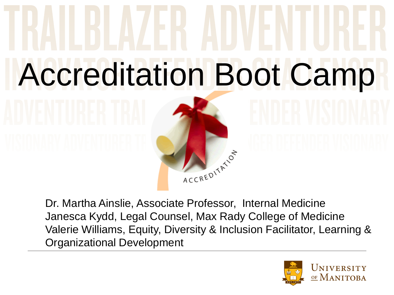# Accreditation Boot Camp ACCREDITEIN OF

Dr. Martha Ainslie, Associate Professor, Internal Medicine Janesca Kydd, Legal Counsel, Max Rady College of Medicine Valerie Williams, Equity, Diversity & Inclusion Facilitator, Learning & Organizational Development

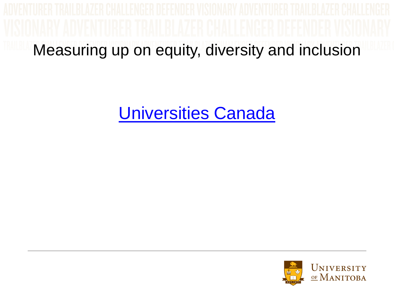Measuring up on equity, diversity and inclusion

#### [Universities Canada](https://www.univcan.ca/media-room/videos/measuring-equity-diversity-inclusion/)

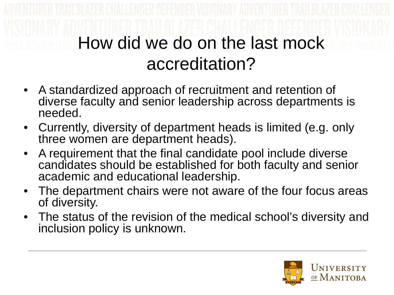### How did we do on the last mock accreditation?

- A standardized approach of recruitment and retention of diverse faculty and senior leadership across departments is needed.
- Currently, diversity of department heads is limited (e.g. only three women are department heads).
- A requirement that the final candidate pool include diverse candidates should be established for both faculty and senior academic and educational leadership.
- The department chairs were not aware of the four focus areas of diversity.
- The status of the revision of the medical school's diversity and inclusion policy is unknown.

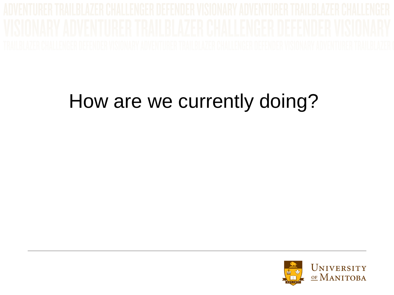#### How are we currently doing?

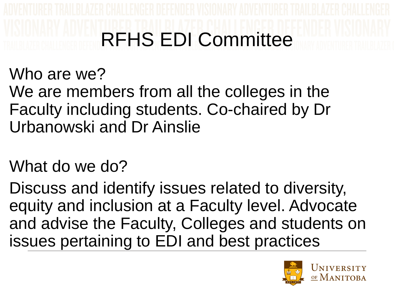# RFHS EDI Committee

- Who are we?
- We are members from all the colleges in the Faculty including students. Co-chaired by Dr Urbanowski and Dr Ainslie
- What do we do?
- Discuss and identify issues related to diversity, equity and inclusion at a Faculty level. Advocate and advise the Faculty, Colleges and students on issues pertaining to EDI and best practices

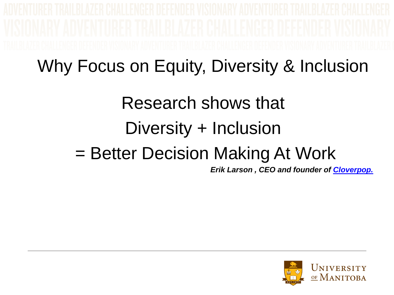#### Why Focus on Equity, Diversity & Inclusion

#### Research shows that Diversity + Inclusion = Better Decision Making At Work *Erik Larson , CEO and founder of [Cloverpop.](http://www.cloverpop.com/)*

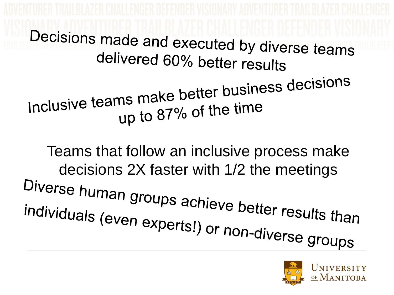Decisions made and executed by diverse teams delivered 60% better results Inclusive teams make better business decisions up to 87% of the time

Teams that follow an inclusive process make decisions 2X faster with 1/2 the meetings<br>Diverse human groups achieve better results than individuals (even experts!) or non-diverse groups

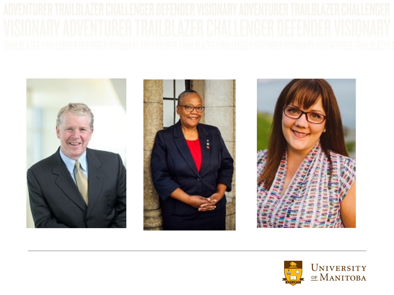





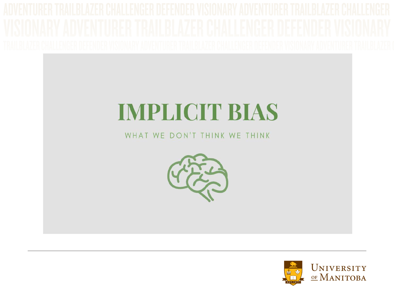#### **IMPLICIT BIAS**

WHAT WE DON'T THINK WE THINK



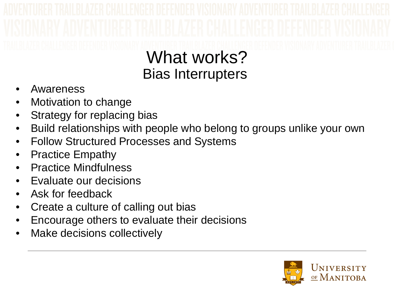#### What works? Bias Interrupters

- Awareness
- Motivation to change
- Strategy for replacing bias
- Build relationships with people who belong to groups unlike your own
- Follow Structured Processes and Systems
- Practice Empathy
- Practice Mindfulness
- Evaluate our decisions
- Ask for feedback
- Create a culture of calling out bias
- Encourage others to evaluate their decisions
- Make decisions collectively

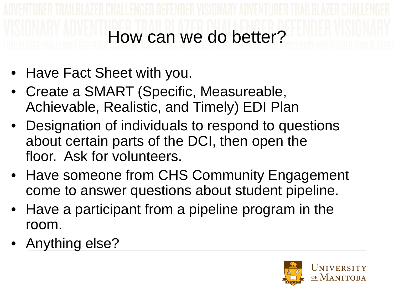## How can we do better?

- Have Fact Sheet with you.
- Create a SMART (Specific, Measureable, Achievable, Realistic, and Timely) EDI Plan
- Designation of individuals to respond to questions about certain parts of the DCI, then open the floor. Ask for volunteers.
- Have someone from CHS Community Engagement come to answer questions about student pipeline.
- Have a participant from a pipeline program in the room.
- Anything else?

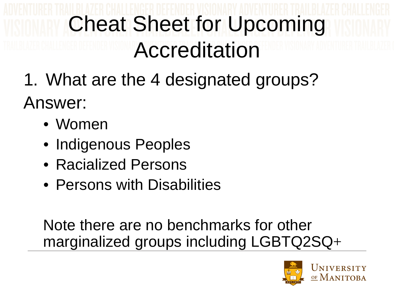- 1. What are the 4 designated groups? Answer:
	- Women
	- Indigenous Peoples
	- Racialized Persons
	- Persons with Disabilities

Note there are no benchmarks for other marginalized groups including LGBTQ2SQ+

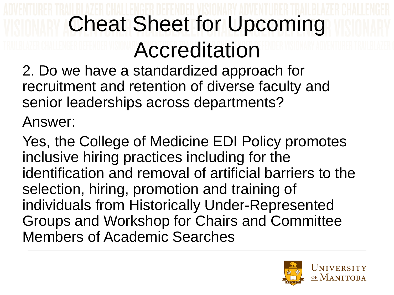2. Do we have a standardized approach for recruitment and retention of diverse faculty and senior leaderships across departments?

Answer:

Yes, the College of Medicine EDI Policy promotes inclusive hiring practices including for the identification and removal of artificial barriers to the selection, hiring, promotion and training of individuals from Historically Under-Represented Groups and Workshop for Chairs and Committee Members of Academic Searches

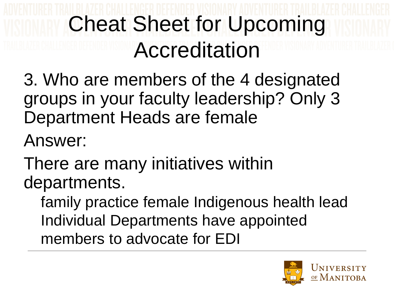3. Who are members of the 4 designated groups in your faculty leadership? Only 3 Department Heads are female

Answer:

- There are many initiatives within departments.
	- family practice female Indigenous health lead Individual Departments have appointed members to advocate for EDI

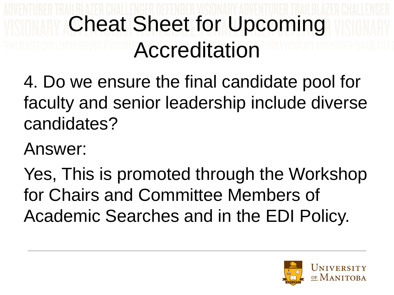4. Do we ensure the final candidate pool for faculty and senior leadership include diverse candidates?

Answer:

Yes, This is promoted through the Workshop for Chairs and Committee Members of Academic Searches and in the EDI Policy.

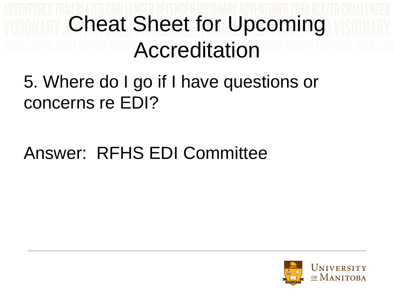#### 5. Where do I go if I have questions or concerns re EDI?

#### Answer: RFHS EDI Committee

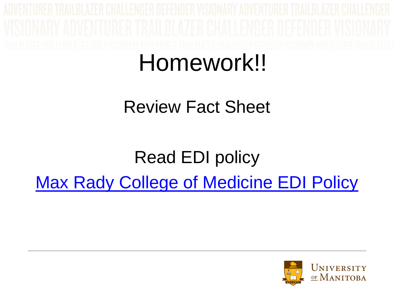#### Homework!!

#### Review Fact Sheet

#### Read EDI policy Max Rady [College of Medicine EDI Policy](http://umanitoba.ca/faculties/health_sciences/media/Equity-Diversity-and-Inclusion-policy-August-21-2018.pdf)

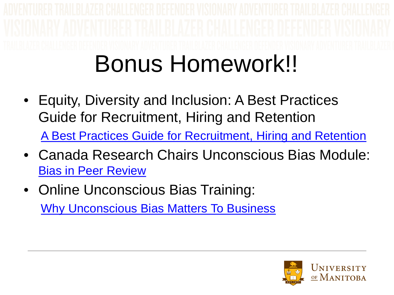# Bonus Homework!!

- Equity, Diversity and Inclusion: A Best Practices Guide for Recruitment, Hiring and Retention [A Best Practices Guide for Recruitment, Hiring and Retention](http://www.chairs-chaires.gc.ca/program-programme/equity-equite/best_practices-pratiques_examplaires-eng.aspx)
- Canada Research Chairs Unconscious Bias Module: [Bias in Peer Review](http://www.chairs-chaires.gc.ca/program-programme/equity-equite/bias/module-eng.aspx?pedisable=false)
- Online Unconscious Bias Training: [Why Unconscious Bias Matters To Business](https://www.linkedin.com/learning/unconscious-bias/why-unconscious-bias-matters-to-business)

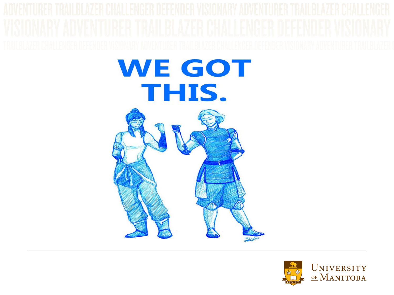